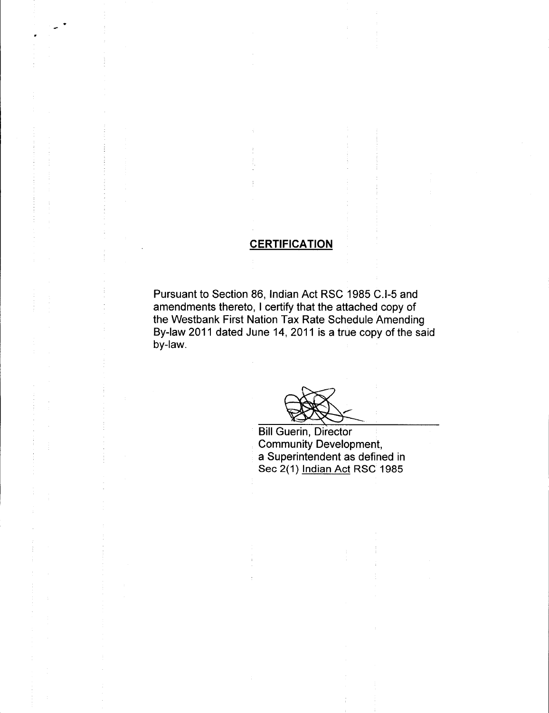## **CERTIFICATION**

Pursuant to Section 86, Indian Act RSC 1985 C.I-5 and amendments thereto, I certify that the attached copy of the Westbank First Nation Tax Rate Schedule Amending By -law 2011 dated June 14, 2011 is a true copy of the said by-law.

Bill Guerin, Director Community Development, a Superintendent as defined in Sec 2(1) Indian Act RSC 1985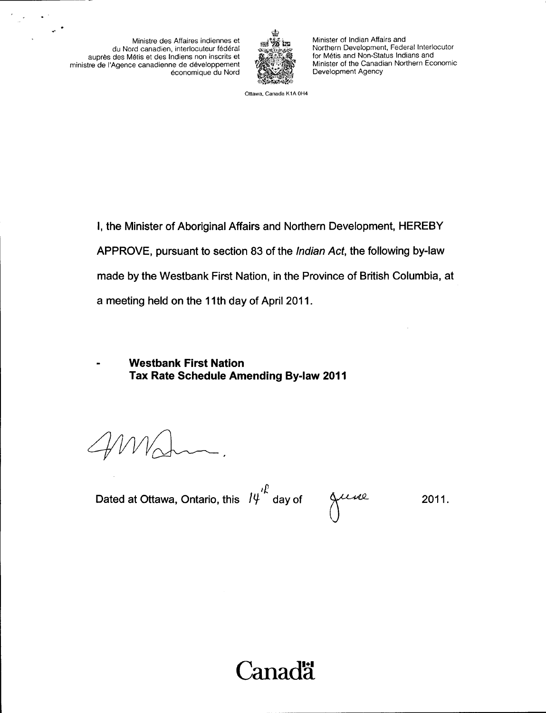Ministre des Affaires indiennes et du Nord canadien, interlocuteur fédéral aupres des Metis et des Indiens non inscrits et ministre de l'Agence canadienne de développement économique du Nord

 $\sim$ 



Minister of Indian Affairs and Northern Development, Federal Interlocutor for Métis and Non-Status Indians and Minister of the Canadian Northern Economic Development Agency

Ottawa, Canada K1A OH4

I, the Minister of Aboriginal Affairs and Northern Development, HEREBY APPROVE, pursuant to section 83 of the *Indian Act*, the following by-law made by the Westbank First Nation, in the Province of British Columbia, at a meeting held on the 11th day of April 2011.

Westbank First Nation Tax Rate Schedule Amending By -law 2011

Dated at Ottawa, Ontario, this  $14^{l}$  day of Alles

2011.

# Canadä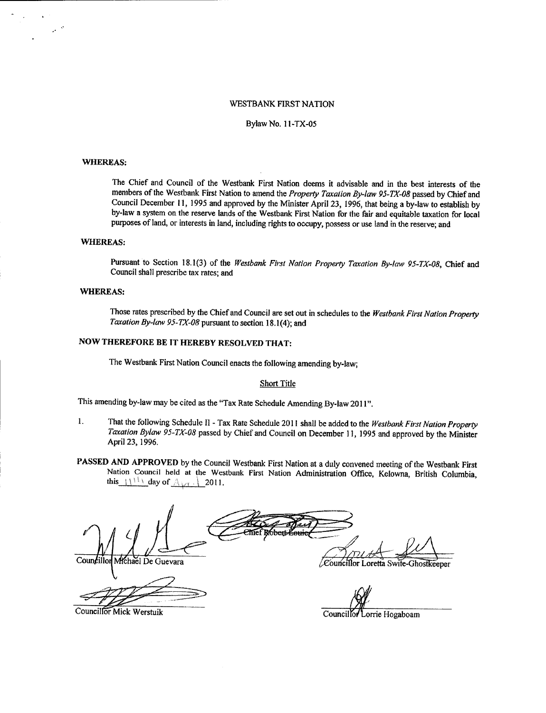## **WESTBANK FIRST NATION**

#### Bylaw No. 11-TX-05

### **WHEREAS:**

 $\mathcal{P}^{(0)}$ 

The Chief and Council of the Westbank First Nation deems it advisable and in the best interests of the members of the Westbank First Nation to amend the Property Taxation By-law 95-TX-08 passed by Chief and Council December 11, 1995 and approved by the Minister April 23, 1996, that being a by-law to establish by by-law a system on the reserve lands of the Westbank First Nation for the fair and equitable taxation for local purposes of land, or interests in land, including rights to occupy, possess or use land in the reserve; and

## **WHEREAS:**

Pursuant to Section 18.1(3) of the Westbank First Nation Property Taxation By-law 95-TX-08, Chief and Council shall prescribe tax rates; and

## **WHEREAS:**

Those rates prescribed by the Chief and Council are set out in schedules to the Westbank First Nation Property Taxation By-law 95-TX-08 pursuant to section 18.1(4); and

## NOW THEREFORE BE IT HEREBY RESOLVED THAT:

The Westbank First Nation Council enacts the following amending by-law;

## **Short Title**

This amending by-law may be cited as the "Tax Rate Schedule Amending By-law 2011".

- $\mathbf{I}$ . That the following Schedule II - Tax Rate Schedule 2011 shall be added to the Westbank First Nation Property Taxation Bylaw 95-TX-08 passed by Chief and Council on December 11, 1995 and approved by the Minister April 23, 1996.
- PASSED AND APPROVED by the Council Westbank First Nation at a duly convened meeting of the Westbank First Nation Council held at the Westbank First Nation Administration Office, Kelowna, British Columbia, this  $1111$  day of  $\triangle_{kY}$ . 2011.

Councillo Michael De Guevara

/Councillor Loretta Swife-Ghostkeeper

Councillor Mick Werstuik

orrie Hogaboam Councillor